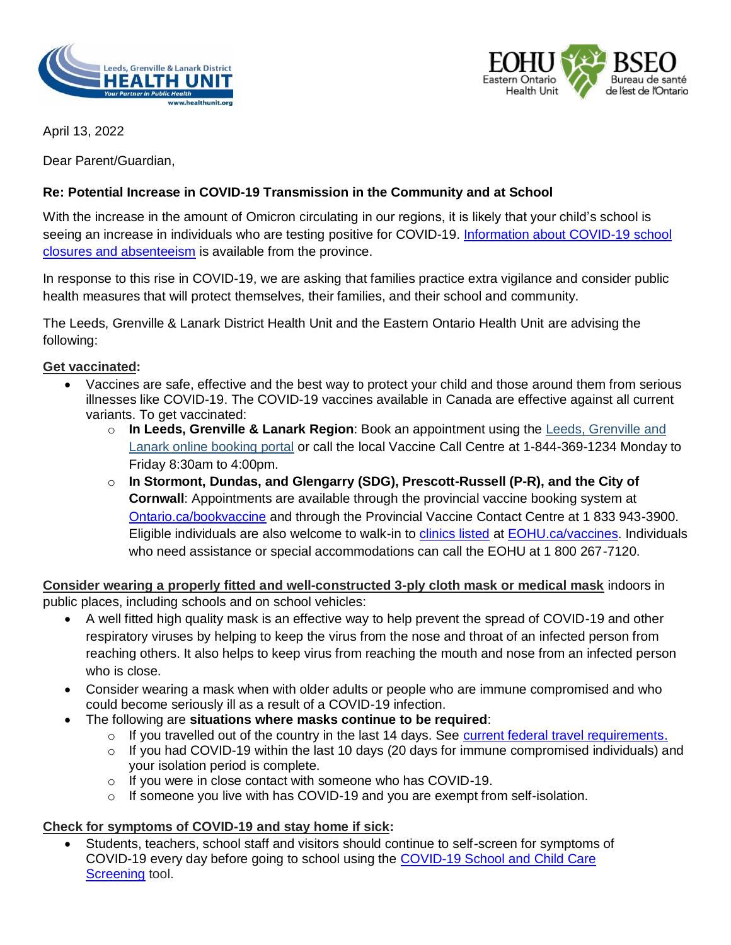



April 13, 2022

Dear Parent/Guardian,

# **Re: Potential Increase in COVID-19 Transmission in the Community and at School**

With the increase in the amount of Omicron circulating in our regions, it is likely that your child's school is seeing an increase in individuals who are testing positive for COVID-19. Information about COVID-19 school [closures and absenteeism](https://www.ontario.ca/page/covid-19-school-closures-and-absenteeism) is available from the province.

In response to this rise in COVID-19, we are asking that families practice extra vigilance and consider public health measures that will protect themselves, their families, and their school and community.

The Leeds, Grenville & Lanark District Health Unit and the Eastern Ontario Health Unit are advising the following:

### **Get vaccinated:**

- Vaccines are safe, effective and the best way to protect your child and those around them from serious illnesses like COVID-19. The COVID-19 vaccines available in Canada are effective against all current variants. To get vaccinated:
	- o **In Leeds, Grenville & Lanark Region**: Book an appointment using the [Leeds, Grenville and](https://portal.healthmyself.net/northgrenvillecovid19assessmentcentre/guest/#/1do/book/type)  [Lanark online booking portal](https://portal.healthmyself.net/northgrenvillecovid19assessmentcentre/guest/#/1do/book/type) or call the local Vaccine Call Centre at 1-844-369-1234 Monday to Friday 8:30am to 4:00pm.
	- o **In Stormont, Dundas, and Glengarry (SDG), Prescott-Russell (P-R), and the City of Cornwall**: Appointments are available through the provincial vaccine booking system at [Ontario.ca/bookvaccine](http://www.ontario.ca/bookvaccine) and through the Provincial Vaccine Contact Centre at 1 833 943-3900. Eligible individuals are also welcome to walk-in to [clinics listed](https://eohu.ca/en/covid/list-of-upcoming-covid-19-vaccination-clinics#List%20of%20Walk-ins) at [EOHU.ca/vaccines.](http://eohu.ca/en/section/covid-19-vaccines) Individuals who need assistance or special accommodations can call the EOHU at 1 800 267-7120.

**Consider wearing a properly fitted and well-constructed 3-ply cloth mask or medical mask** indoors in public places, including schools and on school vehicles:

- A well fitted high quality mask is an effective way to help prevent the spread of COVID-19 and other respiratory viruses by helping to keep the virus from the nose and throat of an infected person from reaching others. It also helps to keep virus from reaching the mouth and nose from an infected person who is close.
- Consider wearing a mask when with older adults or people who are immune compromised and who could become seriously ill as a result of a COVID-19 infection.
- The following are **situations where masks continue to be required**:
	- $\circ$  If you travelled out of the country in the last 14 days. See [current federal travel requirements.](https://travel.gc.ca/travel-covid/travel-restrictions/exemptions)
	- o If you had COVID-19 within the last 10 days (20 days for immune compromised individuals) and your isolation period is complete.
	- o If you were in close contact with someone who has COVID-19.
	- $\circ$  If someone you live with has COVID-19 and you are exempt from self-isolation.

### **Check for symptoms of COVID-19 and stay home if sick:**

 Students, teachers, school staff and visitors should continue to self-screen for symptoms of COVID-19 every day before going to school using the [COVID-19 School and Child Care](https://covid-19.ontario.ca/school-screening/)  **[Screening](https://covid-19.ontario.ca/school-screening/) tool.**